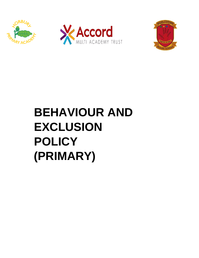





# **BEHAVIOUR AND EXCLUSION POLICY (PRIMARY)**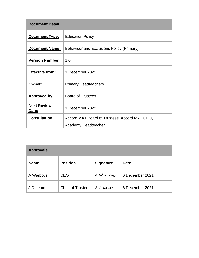| <b>Document Detail</b>             |                                               |  |  |
|------------------------------------|-----------------------------------------------|--|--|
| Document Type:                     | <b>Education Policy</b>                       |  |  |
| <b>Document Name:</b>              | Behaviour and Exclusions Policy (Primary)     |  |  |
| <b>Version Number</b>              | 1.0                                           |  |  |
| <b>Effective from:</b>             | 1 December 2021                               |  |  |
| <u> Owner:</u>                     | <b>Primary Headteachers</b>                   |  |  |
| <b>Approved by</b>                 | <b>Board of Trustees</b>                      |  |  |
| <b>Next Review</b><br><u>Date:</u> | 1 December 2022                               |  |  |
| <b>Consultation:</b>               | Accord MAT Board of Trustees, Accord MAT CEO, |  |  |
|                                    | Academy Headteacher                           |  |  |

| <b>Approvals</b> |                          |                  |                 |  |  |  |
|------------------|--------------------------|------------------|-----------------|--|--|--|
| <b>Name</b>      | <b>Position</b>          | <b>Signature</b> | <b>Date</b>     |  |  |  |
| A Warboys        | <b>CEO</b>               | A Warboys        | 6 December 2021 |  |  |  |
| J D Leam         | <b>Chair of Trustees</b> | JD Leam          | 6 December 2021 |  |  |  |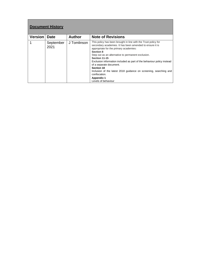| <b>Document History</b> |                   |               |                                                                                                                                                                                                                                                                                                                                                                                                                                                                                                                      |  |  |  |
|-------------------------|-------------------|---------------|----------------------------------------------------------------------------------------------------------------------------------------------------------------------------------------------------------------------------------------------------------------------------------------------------------------------------------------------------------------------------------------------------------------------------------------------------------------------------------------------------------------------|--|--|--|
| <b>Version</b>          | <b>Date</b>       | <b>Author</b> | <b>Note of Revisions</b>                                                                                                                                                                                                                                                                                                                                                                                                                                                                                             |  |  |  |
| 1                       | September<br>2021 | J Tomlinson   | This policy has been brought in line with the Trust policy for<br>secondary academies. It has been amended to ensure it is<br>appropriate for the primary academies:<br>Section 8<br>Step out as an alternative to permanent exclusion.<br>Section 11-15<br>Exclusion information included as part of the behaviour policy instead<br>of a separate document.<br><b>Section 18</b><br>Inclusion of the latest 2018 guidance on screening, searching and<br>confiscation.<br><b>Appendix 1</b><br>Levels of behaviour |  |  |  |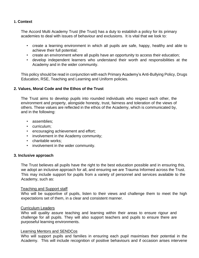# **1. Context**

The Accord Multi Academy Trust (the Trust) has a duty to establish a policy for its primary academies to deal with issues of behaviour and exclusions. It is vital that we look to:

- create a learning environment in which all pupils are safe, happy, healthy and able to achieve their full potential;
- create an environment where all pupils have an opportunity to access their education;
- develop independent learners who understand their worth and responsibilities at the Academy and in the wider community.

This policy should be read in conjunction with each Primary Academy's Anti-Bullying Policy, Drugs Education, RSE, Teaching and Learning and Uniform policies.

## **2. Values, Moral Code and the Ethos of the Trust**

The Trust aims to develop pupils into rounded individuals who respect each other, the environment and property, alongside honesty, trust, fairness and toleration of the views of others. These values are reflected in the ethos of the Academy, which is communicated by, and in the following:

- assemblies;
- curriculum;
- encouraging achievement and effort;
- involvement in the Academy community;
- charitable works;
- involvement in the wider community.

#### **3. Inclusive approach**

The Trust believes all pupils have the right to the best education possible and in ensuring this, we adopt an inclusive approach for all, and ensuring we are Trauma Informed across the Trust. This may include support for pupils from a variety of personnel and services available to the Academy, such as:

#### Teaching and Support staff

Who will be supportive of pupils, listen to their views and challenge them to meet the high expectations set of them, in a clear and consistent manner.

#### Curriculum Leaders

Who will quality assure teaching and learning within their areas to ensure rigour and challenge for all pupils. They will also support teachers and pupils to ensure there are purposeful learning environments.

#### Learning Mentors and SENDCos

Who will support pupils and families in ensuring each pupil maximises their potential in the Academy. This will include recognition of positive behaviours and if occasion arises intervene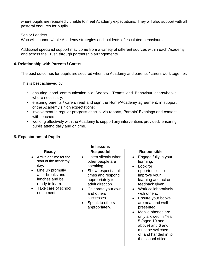where pupils are repeatedly unable to meet Academy expectations. They will also support with all pastoral enquires for pupils.

#### Senior Leaders

Who will support whole Academy strategies and incidents of escalated behaviours.

Additional specialist support may come from a variety of different sources within each Academy and across the Trust, through partnership arrangements.

#### **4. Relationship with Parents / Carers**

The best outcomes for pupils are secured when the Academy and parents / carers work together.

This is best achieved by:

- ensuring good communication via Seesaw, Teams and Behaviour charts/books where necessary;
- ensuring parents / carers read and sign the Home/Academy agreement, in support of the Academy's high expectations;
- involvement in regular progress checks, via reports, Parents' Evenings and contact with teachers;
- working effectively with the Academy to support any interventions provided; ensuring pupils attend daily and on time.

| In lessons                                                                                                                                                              |                                                                                                                                                                                                                                                            |                                                                                                                                                                                                                                                                                                                                                                                  |  |  |  |  |
|-------------------------------------------------------------------------------------------------------------------------------------------------------------------------|------------------------------------------------------------------------------------------------------------------------------------------------------------------------------------------------------------------------------------------------------------|----------------------------------------------------------------------------------------------------------------------------------------------------------------------------------------------------------------------------------------------------------------------------------------------------------------------------------------------------------------------------------|--|--|--|--|
| <b>Ready</b>                                                                                                                                                            | <b>Respectful</b>                                                                                                                                                                                                                                          | <b>Responsible</b>                                                                                                                                                                                                                                                                                                                                                               |  |  |  |  |
| Arrive on time for the<br>start of the academy<br>day.<br>Line up promptly<br>after breaks and<br>lunches and be<br>ready to learn.<br>Take care of school<br>equipment | Listen silently when<br>$\bullet$<br>other people are<br>speaking.<br>Show respect at all<br>$\bullet$<br>times and respond<br>appropriately to<br>adult direction.<br>Celebrate your own<br>and others<br>successes.<br>Speak to others<br>appropriately. | Engage fully in your<br>learning.<br>Look for<br>opportunities to<br>improve your<br>learning and act on<br>feedback given.<br>Work collaboratively<br>with others.<br>Ensure your books<br>are neat and well<br>presented.<br>Mobile phones are<br>only allowed in Year<br>5 (aged 10 and<br>above) and 6 and<br>must be switched<br>off and handed in to<br>the school office. |  |  |  |  |

#### **5. Expectations of Pupils**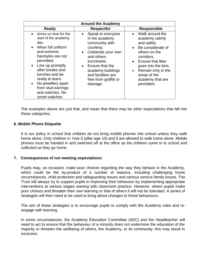| <b>Around the Academy</b>                                                                                                                                                                                                                                                                      |                                                                                                                                                                                                                        |                                                                                                                                                                                                                                                         |  |  |  |  |
|------------------------------------------------------------------------------------------------------------------------------------------------------------------------------------------------------------------------------------------------------------------------------------------------|------------------------------------------------------------------------------------------------------------------------------------------------------------------------------------------------------------------------|---------------------------------------------------------------------------------------------------------------------------------------------------------------------------------------------------------------------------------------------------------|--|--|--|--|
| <b>Ready</b>                                                                                                                                                                                                                                                                                   | <b>Respectful</b>                                                                                                                                                                                                      | <b>Responsible</b>                                                                                                                                                                                                                                      |  |  |  |  |
| • Arrive on time for the<br>start of the academy<br>day.<br>Wear full uniform<br>and extreme<br>hairstyles are not<br>permitted.<br>Line up promptly<br>after breaks and<br>lunches and be<br>ready to learn.<br>No jewellery apart<br>from stud earrings<br>and watches. No<br>smart watches. | Speak to everyone<br>in the academy<br>community with<br>courtesy.<br>Celebrate your own<br>and others<br>successes.<br>Ensure that the<br>academy buildings<br>and facilities are<br>free from graffiti or<br>damage. | • Walk around the<br>academy calmly<br>and safely.<br>Be considerate of<br>$\bullet$<br>others on the<br>corridors.<br>• Ensure that litter<br>goes into the bins.<br>Remain only in the<br>$\bullet$<br>areas of the<br>academy that are<br>permitted. |  |  |  |  |

The examples above are just that, and mean that there may be other expectations that fall into these categories.

#### **6. Mobile Phone Etiquette**

It is our policy in school that children do not bring mobile phones into school unless they walk home alone. Only children in Year 5 (after age 10) and 6 are allowed to walk home alone. Mobile phones must be handed in and switched off at the office as the children come in to school and collected as they go home.

#### **7. Consequences of not meeting expectations:**

Pupils may, on occasion, make poor choices regarding the way they behave in the Academy, which could be the by-product of a number of reasons, including challenging home circumstances, child protection and safeguarding issues and various serious family issues. The Trust will always try to support pupils in improving their behaviour by implementing appropriate interventions at various stages starting with classroom practice. However, where pupils make poor choices and threaten their own learning or that of others it will not be tolerated. A series of strategies will then need to be used to bring about changes to these behaviours.

The aim of these strategies is to encourage pupils to comply with the Academy rules and reengage with learning.

In some circumstances, the Academy Education Committee (AEC) and the Headteacher will need to act to ensure that the behaviour of a minority does not undermine the education of the majority or threaten the wellbeing of others, the Academy, or its community: this may result in exclusion.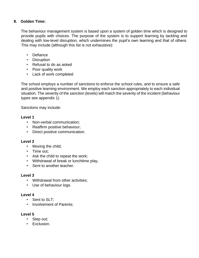# **8. Golden Time:**

The behaviour management system is based upon a system of golden time which is designed to provide pupils with choices. The purpose of the system is to support learning by tackling and dealing with low-level disruption, which undermines the pupil's own learning and that of others. This may include (although this list is not exhaustive):

- Defiance
- Disruption
- Refusal to do as asked
- Poor quality work
- Lack of work completed

The school employs a number of sanctions to enforce the school rules, and to ensure a safe and positive learning environment. We employ each sanction appropriately to each individual situation. The severity of the sanction (levels) will match the severity of the incident (behaviour types see appendix 1)

Sanctions may include:

## **Level 1**

- Non-verbal communication;
- Reaffirm positive behaviour;
- Direct positive communication.

#### **Level 2**

- Moving the child;
- Time out:
- Ask the child to repeat the work;
- Withdrawal of break or lunchtime play,
- Sent to another teacher.

#### **Level 3**

- Withdrawal from other activities;
- Use of behaviour logs.

#### **Level 4**

- Sent to SLT:
- Involvement of Parents;

#### **Level 5**

- Step out;
- Exclusion.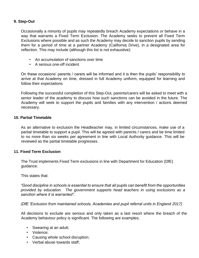# **9. Step-Out**

Occasionally a minority of pupils may repeatedly breach Academy expectations or behave in a way that warrants a Fixed Term Exclusion. The Academy seeks to prevent all Fixed Term Exclusions where possible and as such the Academy may decide to sanction pupils by sending them for a period of time at a partner Academy (California Drive), in a designated area for reflection. This may include (although this list is not exhaustive):

- An accumulation of sanctions over time
- A serious one-off incident

On these occasions' parents / carers will be informed and it is then the pupils' responsibility to arrive at that Academy on time, dressed in full Academy uniform, equipped for learning and follow their expectations

Following the successful completion of this Step-Out, parents/carers will be asked to meet with a senior leader of the academy to discuss how such sanctions can be avoided in the future. The Academy will seek to support the pupils and families with any intervention / actions deemed necessary.

## **10. Partial Timetable**

As an alternative to exclusion the Headteacher may, in limited circumstances, make use of a partial timetable to support a pupil. This will be agreed with parents / carers and be time limited to no more than six weeks per agreement in line with Local Authority guidance. This will be reviewed as the partial timetable progresses.

#### **11. Fixed Term Exclusion**

The Trust implements Fixed Term exclusions in line with Department for Education (DfE) guidance.

This states that:

*"Good discipline in schools is essential to ensure that all pupils can benefit from the opportunities provided by education. The government supports head teachers in using exclusions as a sanction where it is warranted".*

*(DfE 'Exclusion from maintained schools, Academies and pupil referral units in England 2017)*

All decisions to exclude are serious and only taken as a last resort where the breach of the Academy behaviour policy is significant. The following are examples;

- Swearing at an adult;
- Violence;
- Causing whole school disruption;
- Verbal abuse towards staff;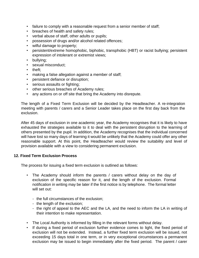- failure to comply with a reasonable request from a senior member of staff;
- breaches of health and safety rules;
- verbal abuse of staff, other adults or pupils;
- possession of drugs and/or alcohol related offences;
- wilful damage to property;
- persistent/extreme homophobic, biphobic, transphobic (HBT) or racist bullying; persistent expression of intolerant or extremist views;
- bullying;
- sexual misconduct;
- theft:
- making a false allegation against a member of staff;
- persistent defiance or disruption;
- serious assaults or fighting;
- other serious breaches of Academy rules;
- any actions on or off site that bring the Academy into disrepute.

The length of a Fixed Term Exclusion will be decided by the Headteacher. A re-integration meeting with parents / carers and a Senior Leader takes place on the first day back from the exclusion.

After 45 days of exclusion in one academic year, the Academy recognises that it is likely to have exhausted the strategies available to it to deal with the persistent disruption to the learning of others presented by the pupil. In addition, the Academy recognises that the individual concerned will have lost so many days of learning it would be unlikely that the Academy could offer any other reasonable support. At this point, the Headteacher would review the suitability and level of provision available with a view to considering permanent exclusion.

#### **12. Fixed Term Exclusion Process**

The process for issuing a fixed term exclusion is outlined as follows:

- The Academy should inform the parents / carers without delay on the day of exclusion of the specific reason for it, and the length of the exclusion. Formal notification in writing may be later if the first notice is by telephone. The formal letter will set out:
	- the full circumstances of the exclusion;
	- the length of the exclusion;
	- the right of appeal to the AEC and the LA, and the need to inform the LA in writing of their intention to make representation.
- The Local Authority is informed by filling in the relevant forms without delay.
- If during a fixed period of exclusion further evidence comes to light, the fixed period of exclusion will not be extended. Instead, a further fixed term exclusion will be issued, not exceeding 15 days total in one term, or in very exceptional circumstances a permanent exclusion may be issued to begin immediately after the fixed period. The parent / carer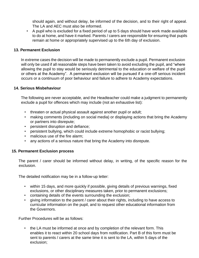should again, and without delay, be informed of the decision, and to their right of appeal. The LA and AEC must also be informed.

• A pupil who is excluded for a fixed period of up to 5 days should have work made available to do at home, and have it marked. Parents / carers are responsible for ensuring that pupils remain at home or appropriately supervised up to the 6th day of exclusion.

#### **13. Permanent Exclusion**

In extreme cases the decision will be made to permanently exclude a pupil. Permanent exclusion will only be used if all reasonable steps have been taken to avoid excluding the pupil, and "where allowing the pupil to stay would be seriously detrimental to the education or welfare of the pupil or others at the Academy". A permanent exclusion will be pursued if a one-off serious incident occurs or a continuum of poor behaviour and failure to adhere to Academy expectations.

#### **14. Serious Misbehaviour**

The following are never acceptable, and the Headteacher could make a judgment to permanently exclude a pupil for offences which may include (not an exhaustive list):

- threaten or actual physical assault against another pupil or adult;
- making comments (including on social media) or displaying actions that bring the Academy or partners into disrepute;
- persistent disruption and defiance;
- persistent bullying, which could include extreme homophobic or racist bullying;
- malicious use of the fire alarm;
- any actions of a serious nature that bring the Academy into disrepute.

#### **15. Permanent Exclusion process**

The parent / carer should be informed without delay, in writing, of the specific reason for the exclusion.

The detailed notification may be in a follow-up letter:

- within 15 days, and more quickly if possible, giving details of previous warnings, fixed exclusions, or other disciplinary measures taken, prior to permanent exclusions;
- containing details of the events surrounding the exclusion;
- giving information to the parent / carer about their rights, including to have access to curricular information on the pupil, and to request other educational information from the Governors.

Further Procedures will be as follows:

• the LA must be informed at once and by completion of the relevant form. This enables it to react within 20 school days from notification. Part B of this form must be sent to parents / carers at the same time it is sent to the LA, within 5 days of the exclusion;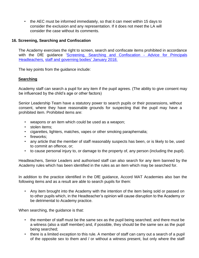• the AEC must be informed immediately, so that it can meet within 15 days to consider the exclusion and any representation. If it does not meet the LA will consider the case without its comments.

## **16. Screening, Searching and Confiscation**

The Academy exercises the right to screen, search and confiscate items prohibited in accordance with the DfE guidance ['Screening,](https://assets.publishing.service.gov.uk/government/uploads/system/uploads/attachment_data/file/674416/Searching_screening_and_confiscation.pdf) [Searching](https://assets.publishing.service.gov.uk/government/uploads/system/uploads/attachment_data/file/674416/Searching_screening_and_confiscation.pdf) [and](https://assets.publishing.service.gov.uk/government/uploads/system/uploads/attachment_data/file/674416/Searching_screening_and_confiscation.pdf) [Confiscation](https://assets.publishing.service.gov.uk/government/uploads/system/uploads/attachment_data/file/674416/Searching_screening_and_confiscation.pdf) [-](https://assets.publishing.service.gov.uk/government/uploads/system/uploads/attachment_data/file/674416/Searching_screening_and_confiscation.pdf) [Advice](https://assets.publishing.service.gov.uk/government/uploads/system/uploads/attachment_data/file/674416/Searching_screening_and_confiscation.pdf) [for](https://assets.publishing.service.gov.uk/government/uploads/system/uploads/attachment_data/file/674416/Searching_screening_and_confiscation.pdf) [Principals](https://assets.publishing.service.gov.uk/government/uploads/system/uploads/attachment_data/file/674416/Searching_screening_and_confiscation.pdf) [Headteachers,](https://assets.publishing.service.gov.uk/government/uploads/system/uploads/attachment_data/file/674416/Searching_screening_and_confiscation.pdf) [staff](https://assets.publishing.service.gov.uk/government/uploads/system/uploads/attachment_data/file/674416/Searching_screening_and_confiscation.pdf) [and](https://assets.publishing.service.gov.uk/government/uploads/system/uploads/attachment_data/file/674416/Searching_screening_and_confiscation.pdf) [governing](https://assets.publishing.service.gov.uk/government/uploads/system/uploads/attachment_data/file/674416/Searching_screening_and_confiscation.pdf) [bodies' January 2018.](https://assets.publishing.service.gov.uk/government/uploads/system/uploads/attachment_data/file/674416/Searching_screening_and_confiscation.pdf)

The key points from the guidance include:

# **Searching**

Academy staff can search a pupil for any item if the pupil agrees. (The ability to give consent may be influenced by the child's age or other factors)

Senior Leadership Team have a statutory power to search pupils or their possessions, without consent, where they have reasonable grounds for suspecting that the pupil may have a prohibited item. Prohibited items are:

- weapons or an item which could be used as a weapon;
- stolen items;
- cigarettes, lighters, matches, vapes or other smoking paraphernalia;
- fireworks;
- any article that the member of staff reasonably suspects has been, or is likely to be, used to commit an offence, or;
- to cause personal injury to, or damage to the property of, any person (including the pupil).

Headteachers, Senior Leaders and authorised staff can also search for any item banned by the Academy rules which has been identified in the rules as an item which may be searched for.

In addition to the practice identified in the DfE guidance, Accord MAT Academies also ban the following items and as a result are able to search pupils for them:

• Any item brought into the Academy with the intention of the item being sold or passed on to other pupils which, in the Headteacher's opinion will cause disruption to the Academy or be detrimental to Academy practice.

When searching, the guidance is that:

- the member of staff must be the same sex as the pupil being searched; and there must be a witness (also a staff member) and, if possible, they should be the same sex as the pupil being searched;
- there is a limited exception to this rule. A member of staff can carry out a search of a pupil of the opposite sex to them and / or without a witness present, but only where the staff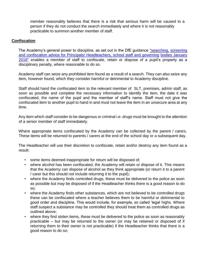member reasonably believes that there is a risk that serious harm will be caused to a person if they do not conduct the search immediately and where it is not reasonably practicable to summon another member of staff.

# **Confiscation**

The Academy's general power to discipline, as set out in the DfE guidance ["searching,](https://assets.publishing.service.gov.uk/government/uploads/system/uploads/attachment_data/file/674416/Searching_screening_and_confiscation.pdf) [screening](https://assets.publishing.service.gov.uk/government/uploads/system/uploads/attachment_data/file/674416/Searching_screening_and_confiscation.pdf) [and](https://assets.publishing.service.gov.uk/government/uploads/system/uploads/attachment_data/file/674416/Searching_screening_and_confiscation.pdf) [confiscation](https://assets.publishing.service.gov.uk/government/uploads/system/uploads/attachment_data/file/674416/Searching_screening_and_confiscation.pdf) [advice](https://assets.publishing.service.gov.uk/government/uploads/system/uploads/attachment_data/file/674416/Searching_screening_and_confiscation.pdf) [for Principals/](https://assets.publishing.service.gov.uk/government/uploads/system/uploads/attachment_data/file/674416/Searching_screening_and_confiscation.pdf) [Headteachers,](https://assets.publishing.service.gov.uk/government/uploads/system/uploads/attachment_data/file/674416/Searching_screening_and_confiscation.pdf) [school staff](https://assets.publishing.service.gov.uk/government/uploads/system/uploads/attachment_data/file/674416/Searching_screening_and_confiscation.pdf) [and](https://assets.publishing.service.gov.uk/government/uploads/system/uploads/attachment_data/file/674416/Searching_screening_and_confiscation.pdf) [governing](https://assets.publishing.service.gov.uk/government/uploads/system/uploads/attachment_data/file/674416/Searching_screening_and_confiscation.pdf) [bodies](https://assets.publishing.service.gov.uk/government/uploads/system/uploads/attachment_data/file/674416/Searching_screening_and_confiscation.pdf) [January](https://assets.publishing.service.gov.uk/government/uploads/system/uploads/attachment_data/file/674416/Searching_screening_and_confiscation.pdf) [2018"](https://assets.publishing.service.gov.uk/government/uploads/system/uploads/attachment_data/file/674416/Searching_screening_and_confiscation.pdf) [en](https://assets.publishing.service.gov.uk/government/uploads/system/uploads/attachment_data/file/674416/Searching_screening_and_confiscation.pdf)ables a member of staff to confiscate, retain or dispose of a pupil's property as a disciplinary penalty, where reasonable to do so.

Academy staff can seize any prohibited item found as a result of a search. They can also seize any item, however found, which they consider harmful or detrimental to Academy discipline.

Staff should hand the confiscated item to the relevant member of SLT, premises, admin staff, as soon as possible and complete the necessary information to identify the item, the date it was confiscated, the name of the pupil and the member of staff's name. Staff must not give the confiscated item to another pupil to hand in and must not leave the item in an unsecure area at any time.

Any item which staff consider to be dangerous or criminal i.e. drugs must be brought to the attention of a senior member of staff immediately.

Where appropriate items confiscated by the Academy can be collected by the parent / carers. These items will be returned to parents / carers at the end of the school day or a subsequent day.

The Headteacher will use their discretion to confiscate, retain and/or destroy any item found as a result:

- some items deemed inappropriate for return will be disposed of;
- where alcohol has been confiscated, the Academy will retain or dispose of it. This means that the Academy can dispose of alcohol as they think appropriate (or return it to a parent / carer but this should not include returning it to the pupil);
- where the Academy finds controlled drugs, these must be delivered to the police as soon as possible but may be disposed of if the Headteacher thinks there is a good reason to do so;
- where the Academy finds other substances, which are not believed to be controlled drugs these can be confiscated where a teacher believes them to be harmful or detrimental to good order and discipline. This would include, for example, so called 'legal highs. Where staff suspect a substance may be controlled they should treat them as controlled drugs as outlined above;
- where they find stolen items, these must be delivered to the police as soon as reasonably practicable – but may be returned to the owner (or may be retained or disposed of if returning them to their owner is not practicable) if the Headteacher thinks that there is a good reason to do so;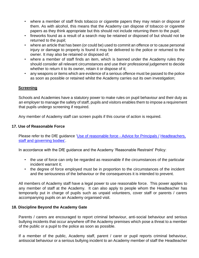- where a member of staff finds tobacco or cigarette papers they may retain or dispose of them. As with alcohol, this means that the Academy can dispose of tobacco or cigarette papers as they think appropriate but this should not include returning them to the pupil;
- fireworks found as a result of a search may be retained or disposed of but should not be returned to the pupil;
- where an article that has been (or could be) used to commit an offence or to cause personal injury or damage to property is found it may be delivered to the police or returned to the owner. It may also be retained or disposed of;
- where a member of staff finds an item, which is banned under the Academy rules they should consider all relevant circumstances and use their professional judgement to decide whether to return it to its owner, retain it or dispose of it;
- any weapons or items which are evidence of a serious offence must be passed to the police as soon as possible or retained whilst the Academy carries out its own investigation;

## **Screening**

Schools and Academies have a statutory power to make rules on pupil behaviour and their duty as an employer to manage the safety of staff, pupils and visitors enables them to impose a requirement that pupils undergo screening if required.

Any member of Academy staff can screen pupils if this course of action is required.

## **17. Use of Reasonable Force**

Please refer to the DfE guidance ['Use](https://assets.publishing.service.gov.uk/government/uploads/system/uploads/attachment_data/file/444051/Use_of_reasonable_force_advice_Reviewed_July_2015.pdf) [of](https://assets.publishing.service.gov.uk/government/uploads/system/uploads/attachment_data/file/444051/Use_of_reasonable_force_advice_Reviewed_July_2015.pdf) [reasonable](https://assets.publishing.service.gov.uk/government/uploads/system/uploads/attachment_data/file/444051/Use_of_reasonable_force_advice_Reviewed_July_2015.pdf) [force](https://assets.publishing.service.gov.uk/government/uploads/system/uploads/attachment_data/file/444051/Use_of_reasonable_force_advice_Reviewed_July_2015.pdf) [-](https://assets.publishing.service.gov.uk/government/uploads/system/uploads/attachment_data/file/444051/Use_of_reasonable_force_advice_Reviewed_July_2015.pdf) [Advice](https://assets.publishing.service.gov.uk/government/uploads/system/uploads/attachment_data/file/444051/Use_of_reasonable_force_advice_Reviewed_July_2015.pdf) [for Principals /](https://assets.publishing.service.gov.uk/government/uploads/system/uploads/attachment_data/file/444051/Use_of_reasonable_force_advice_Reviewed_July_2015.pdf) [Headteachers,](https://assets.publishing.service.gov.uk/government/uploads/system/uploads/attachment_data/file/444051/Use_of_reasonable_force_advice_Reviewed_July_2015.pdf) [staff and](https://assets.publishing.service.gov.uk/government/uploads/system/uploads/attachment_data/file/444051/Use_of_reasonable_force_advice_Reviewed_July_2015.pdf) [governing](https://assets.publishing.service.gov.uk/government/uploads/system/uploads/attachment_data/file/444051/Use_of_reasonable_force_advice_Reviewed_July_2015.pdf) [bodies'.](https://assets.publishing.service.gov.uk/government/uploads/system/uploads/attachment_data/file/444051/Use_of_reasonable_force_advice_Reviewed_July_2015.pdf)

In accordance with the DfE guidance and the Academy 'Reasonable Restraint' Policy:

- the use of force can only be regarded as reasonable if the circumstances of the particular incident warrant it;
- the degree of force employed must be in proportion to the circumstances of the incident and the seriousness of the behaviour or the consequences it is intended to prevent.

All members of Academy staff have a legal power to use reasonable force. This power applies to any member of staff at the Academy. It can also apply to people whom the Headteacher has temporarily put in charge of pupils such as unpaid volunteers, cover staff or parents / carers accompanying pupils on an Academy organised visit.

#### **18. Discipline Beyond the Academy Gate**

Parents / carers are encouraged to report criminal behaviour, anti-social behaviour and serious bullying incidents that occur anywhere off the Academy premises which pose a threat to a member of the public or a pupil to the police as soon as possible.

If a member of the public, Academy staff, parent / carer or pupil reports criminal behaviour, antisocial behaviour or a serious bullying incident to an Academy member of staff the Headteacher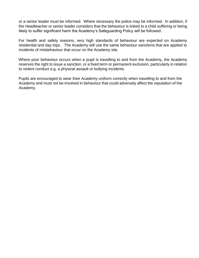or a senior leader must be informed. Where necessary the police may be informed. In addition, if the Headteacher or senior leader considers that the behaviour is linked to a child suffering or being likely to suffer significant harm the Academy's Safeguarding Policy will be followed.

For health and safety reasons, very high standards of behaviour are expected on Academy residential and day trips. The Academy will use the same behaviour sanctions that are applied to incidents of misbehaviour that occur on the Academy site.

Where poor behaviour occurs when a pupil is travelling to and from the Academy, the Academy reserves the right to issue a sanction, or a fixed term or permanent exclusion, particularly in relation to violent conduct e.g. a physical assault or bullying incidents.

Pupils are encouraged to wear their Academy uniform correctly when travelling to and from the Academy and must not be involved in behaviour that could adversely affect the reputation of the Academy.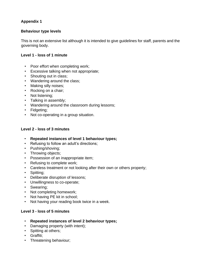# **Appendix 1**

# **Behaviour type levels**

This is not an extensive list although it is intended to give guidelines for staff, parents and the governing body.

# **Level 1 - loss of 1 minute**

- Poor effort when completing work;
- Excessive talking when not appropriate;
- Shouting out in class;
- Wandering around the class;
- Making silly noises;
- Rocking on a chair;
- Not listening;
- Talking in assembly;
- Wandering around the classroom during lessons;
- Fidgeting;
- Not co-operating in a group situation.

# **Level 2 - loss of 3 minutes**

- **Repeated instances of level 1 behaviour types;**
- Refusing to follow an adult's directions;
- Pushing/shoving;
- Throwing objects;
- Possession of an inappropriate item;
- Refusing to complete work;
- Careless treatment or not looking after their own or others property;
- Spitting;
- Deliberate disruption of lessons;
- Unwillingness to co-operate;
- Swearing;
- Not completing homework;
- Not having PE kit in school;
- Not having your reading book twice in a week.

# **Level 3 - loss of 5 minutes**

- **Repeated instances of level 2 behaviour types;**
- Damaging property (with intent);
- Spitting at others;
- Graffiti;
- Threatening behaviour;